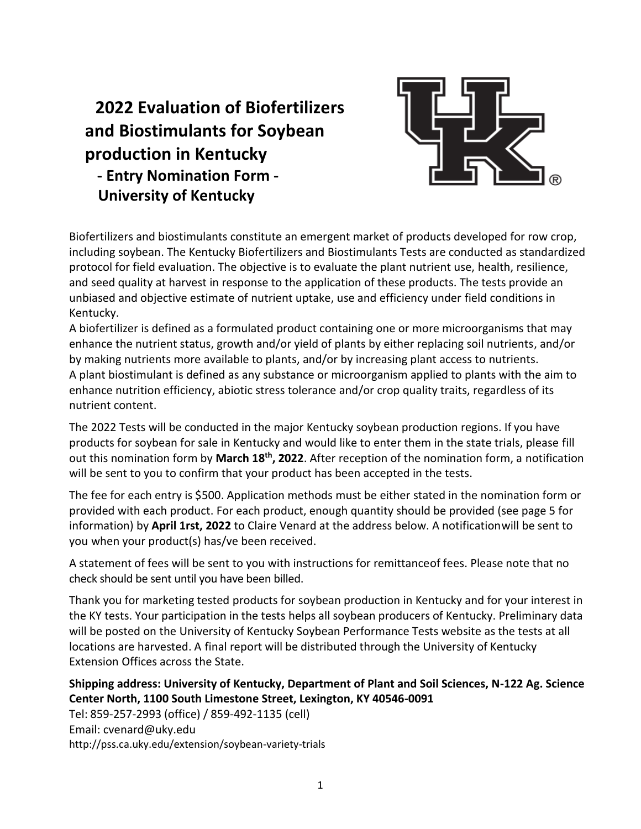# **2022 Evaluation of Biofertilizers and Biostimulants for Soybean production in Kentucky - Entry Nomination Form - University of Kentucky**



Biofertilizers and biostimulants constitute an emergent market of products developed for row crop, including soybean. The Kentucky Biofertilizers and Biostimulants Tests are conducted as standardized protocol for field evaluation. The objective is to evaluate the plant nutrient use, health, resilience, and seed quality at harvest in response to the application of these products. The tests provide an unbiased and objective estimate of nutrient uptake, use and efficiency under field conditions in Kentucky.

A biofertilizer is defined as a formulated product containing one or more microorganisms that may enhance the nutrient status, growth and/or yield of plants by either replacing soil nutrients, and/or by making nutrients more available to plants, and/or by increasing plant access to nutrients. A plant biostimulant is defined as any substance or microorganism applied to plants with the aim to enhance nutrition efficiency, abiotic stress tolerance and/or crop quality traits, regardless of its nutrient content.

The 2022 Tests will be conducted in the major Kentucky soybean production regions. If you have products for soybean for sale in Kentucky and would like to enter them in the state trials, please fill out this nomination form by **March 18th, 2022**. After reception of the nomination form, a notification will be sent to you to confirm that your product has been accepted in the tests.

The fee for each entry is \$500. Application methods must be either stated in the nomination form or provided with each product. For each product, enough quantity should be provided (see page 5 for information) by **April 1rst, 2022** to Claire Venard at the address below. A notificationwill be sent to you when your product(s) has/ve been received.

A statement of fees will be sent to you with instructions for remittanceof fees. Please note that no check should be sent until you have been billed.

Thank you for marketing tested products for soybean production in Kentucky and for your interest in the KY tests. Your participation in the tests helps all soybean producers of Kentucky. Preliminary data will be posted on the University of Kentucky Soybean Performance Tests website as the tests at all locations are harvested. A final report will be distributed through the University of Kentucky Extension Offices across the State.

# **Shipping address: University of Kentucky, Department of Plant and Soil Sciences, N-122 Ag. Science Center North, 1100 South Limestone Street, Lexington, KY 40546-0091**

Tel: 859-257-2993 (office) / 859-492-1135 (cell) Email: [cvenard@uky.edu](mailto:cvenard@uky.edu) http://pss.ca.uky.edu/extension/soybean-variety-trials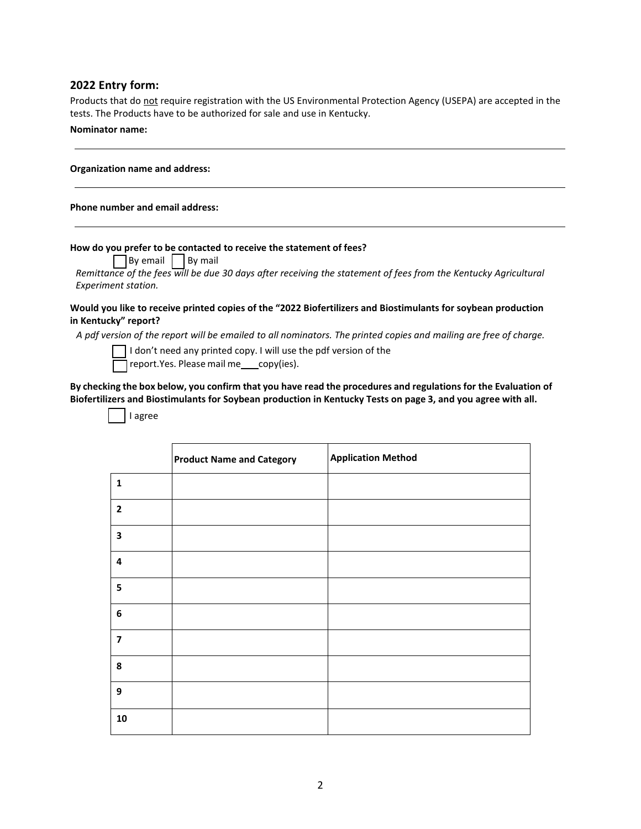## **2022 Entry form:**

Products that do not require registration with the US Environmental Protection Agency (USEPA) are accepted in the tests. The Products have to be authorized for sale and use in Kentucky.

## **Nominator name:**

## **Phone number and email address:**

## **How do you prefer to be contacted to receive the statement of fees?**

 $\Box$  By email  $\Box$  By mail

Remittance of the fees will be due 30 days after receiving the statement of fees from the Kentucky Agricultural *Experiment station.*

## **Would you like to receive printed copies of the "2022 Biofertilizers and Biostimulants for soybean production in Kentucky" report?**

A pdf version of the report will be emailed to all nominators. The printed copies and mailing are free of charge.

 $\overline{\phantom{a}}$  I don't need any printed copy. I will use the pdf version of the

report.Yes. Please mail me copy(ies).

By checking the box below, you confirm that you have read the procedures and regulations for the Evaluation of **Biofertilizers and Biostimulants for Soybean production in Kentucky Tests on page 3, and you agree with all.**

I agree

|                         | <b>Product Name and Category</b> | <b>Application Method</b> |
|-------------------------|----------------------------------|---------------------------|
| $\mathbf{1}$            |                                  |                           |
| $\mathbf{2}$            |                                  |                           |
| 3                       |                                  |                           |
| $\overline{\mathbf{4}}$ |                                  |                           |
| 5                       |                                  |                           |
| 6                       |                                  |                           |
| $\overline{\mathbf{z}}$ |                                  |                           |
| 8                       |                                  |                           |
| 9                       |                                  |                           |
| 10                      |                                  |                           |